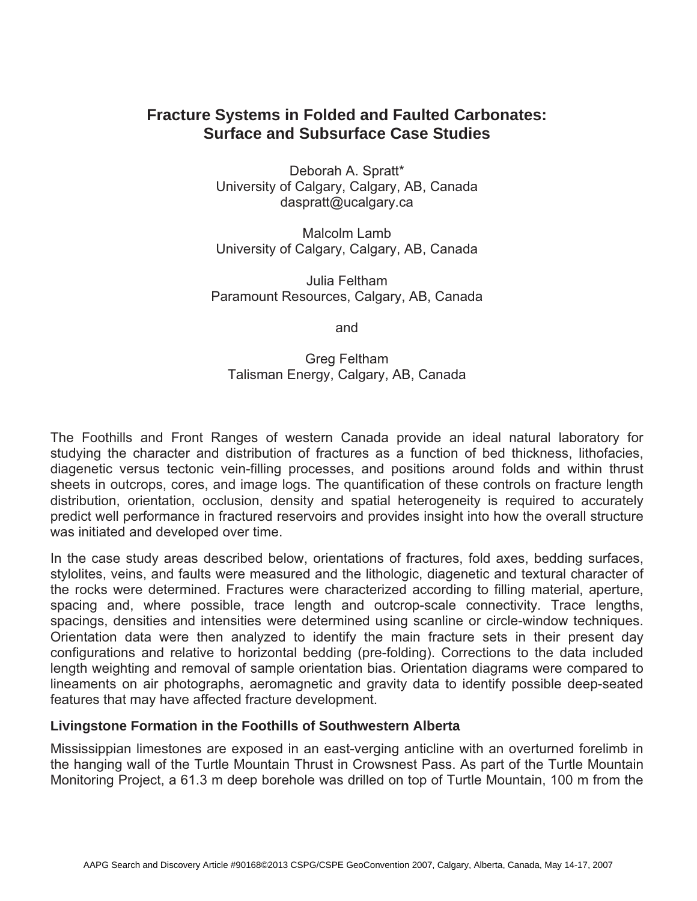# **Fracture Systems in Folded and Faulted Carbonates: Surface and Subsurface Case Studies**

Deborah A. Spratt\* University of Calgary, Calgary, AB, Canada daspratt@ucalgary.ca

Malcolm Lamb University of Calgary, Calgary, AB, Canada

Julia Feltham Paramount Resources, Calgary, AB, Canada

and

Greg Feltham Talisman Energy, Calgary, AB, Canada

The Foothills and Front Ranges of western Canada provide an ideal natural laboratory for studying the character and distribution of fractures as a function of bed thickness, lithofacies, diagenetic versus tectonic vein-filling processes, and positions around folds and within thrust sheets in outcrops, cores, and image logs. The quantification of these controls on fracture length distribution, orientation, occlusion, density and spatial heterogeneity is required to accurately predict well performance in fractured reservoirs and provides insight into how the overall structure was initiated and developed over time.

In the case study areas described below, orientations of fractures, fold axes, bedding surfaces, stylolites, veins, and faults were measured and the lithologic, diagenetic and textural character of the rocks were determined. Fractures were characterized according to filling material, aperture, spacing and, where possible, trace length and outcrop-scale connectivity. Trace lengths, spacings, densities and intensities were determined using scanline or circle-window techniques. Orientation data were then analyzed to identify the main fracture sets in their present day configurations and relative to horizontal bedding (pre-folding). Corrections to the data included length weighting and removal of sample orientation bias. Orientation diagrams were compared to lineaments on air photographs, aeromagnetic and gravity data to identify possible deep-seated features that may have affected fracture development.

## **Livingstone Formation in the Foothills of Southwestern Alberta**

Mississippian limestones are exposed in an east-verging anticline with an overturned forelimb in the hanging wall of the Turtle Mountain Thrust in Crowsnest Pass. As part of the Turtle Mountain Monitoring Project, a 61.3 m deep borehole was drilled on top of Turtle Mountain, 100 m from the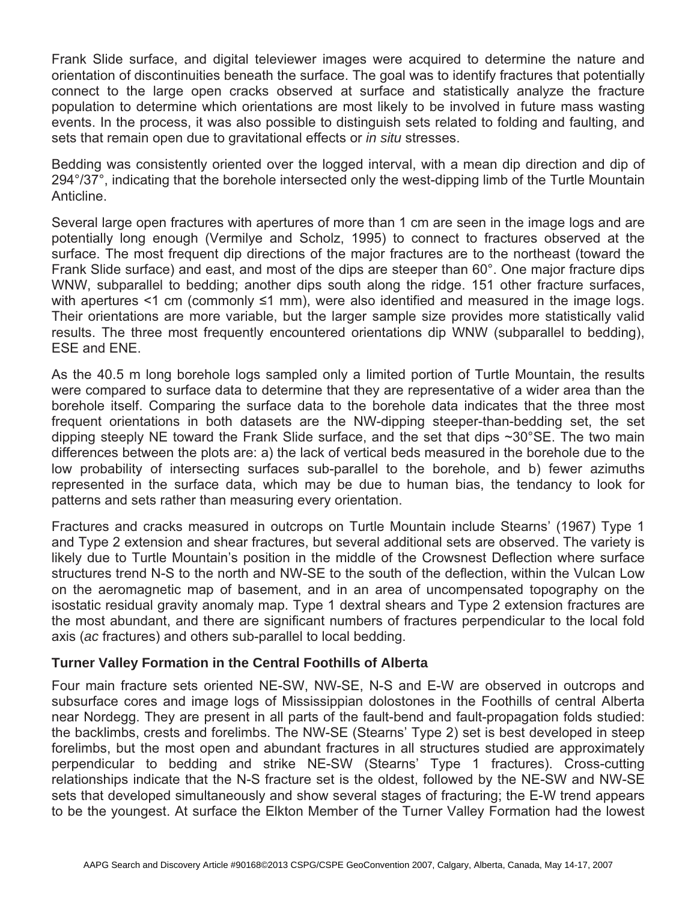Frank Slide surface, and digital televiewer images were acquired to determine the nature and orientation of discontinuities beneath the surface. The goal was to identify fractures that potentially connect to the large open cracks observed at surface and statistically analyze the fracture population to determine which orientations are most likely to be involved in future mass wasting events. In the process, it was also possible to distinguish sets related to folding and faulting, and sets that remain open due to gravitational effects or *in situ* stresses.

Bedding was consistently oriented over the logged interval, with a mean dip direction and dip of 294°/37°, indicating that the borehole intersected only the west-dipping limb of the Turtle Mountain Anticline.

Several large open fractures with apertures of more than 1 cm are seen in the image logs and are potentially long enough (Vermilye and Scholz, 1995) to connect to fractures observed at the surface. The most frequent dip directions of the major fractures are to the northeast (toward the Frank Slide surface) and east, and most of the dips are steeper than 60°. One major fracture dips WNW, subparallel to bedding; another dips south along the ridge. 151 other fracture surfaces, with apertures <1 cm (commonly ≤1 mm), were also identified and measured in the image logs. Their orientations are more variable, but the larger sample size provides more statistically valid results. The three most frequently encountered orientations dip WNW (subparallel to bedding), ESE and ENE.

As the 40.5 m long borehole logs sampled only a limited portion of Turtle Mountain, the results were compared to surface data to determine that they are representative of a wider area than the borehole itself. Comparing the surface data to the borehole data indicates that the three most frequent orientations in both datasets are the NW-dipping steeper-than-bedding set, the set dipping steeply NE toward the Frank Slide surface, and the set that dips ~30°SE. The two main differences between the plots are: a) the lack of vertical beds measured in the borehole due to the low probability of intersecting surfaces sub-parallel to the borehole, and b) fewer azimuths represented in the surface data, which may be due to human bias, the tendancy to look for patterns and sets rather than measuring every orientation.

Fractures and cracks measured in outcrops on Turtle Mountain include Stearns' (1967) Type 1 and Type 2 extension and shear fractures, but several additional sets are observed. The variety is likely due to Turtle Mountain's position in the middle of the Crowsnest Deflection where surface structures trend N-S to the north and NW-SE to the south of the deflection, within the Vulcan Low on the aeromagnetic map of basement, and in an area of uncompensated topography on the isostatic residual gravity anomaly map. Type 1 dextral shears and Type 2 extension fractures are the most abundant, and there are significant numbers of fractures perpendicular to the local fold axis (*ac* fractures) and others sub-parallel to local bedding.

## **Turner Valley Formation in the Central Foothills of Alberta**

Four main fracture sets oriented NE-SW, NW-SE, N-S and E-W are observed in outcrops and subsurface cores and image logs of Mississippian dolostones in the Foothills of central Alberta near Nordegg. They are present in all parts of the fault-bend and fault-propagation folds studied: the backlimbs, crests and forelimbs. The NW-SE (Stearns' Type 2) set is best developed in steep forelimbs, but the most open and abundant fractures in all structures studied are approximately perpendicular to bedding and strike NE-SW (Stearns' Type 1 fractures). Cross-cutting relationships indicate that the N-S fracture set is the oldest, followed by the NE-SW and NW-SE sets that developed simultaneously and show several stages of fracturing; the E-W trend appears to be the youngest. At surface the Elkton Member of the Turner Valley Formation had the lowest